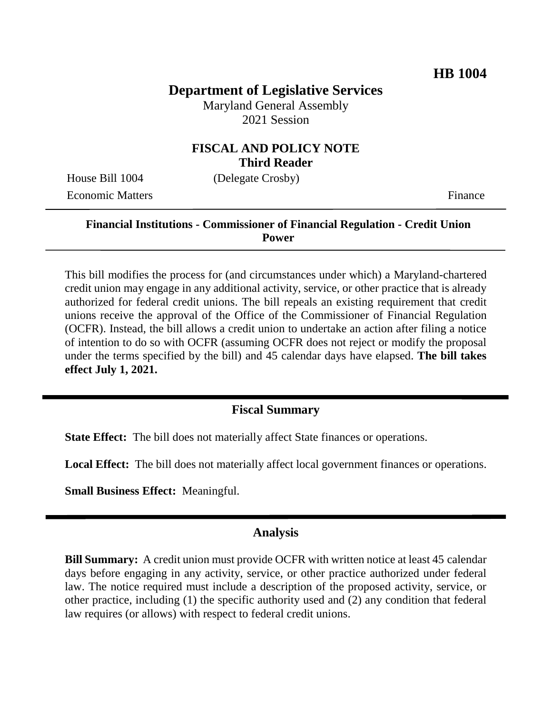## **Department of Legislative Services**

Maryland General Assembly 2021 Session

### **FISCAL AND POLICY NOTE Third Reader**

Economic Matters Finance

House Bill 1004 (Delegate Crosby)

### **Financial Institutions - Commissioner of Financial Regulation - Credit Union Power**

This bill modifies the process for (and circumstances under which) a Maryland-chartered credit union may engage in any additional activity, service, or other practice that is already authorized for federal credit unions. The bill repeals an existing requirement that credit unions receive the approval of the Office of the Commissioner of Financial Regulation (OCFR). Instead, the bill allows a credit union to undertake an action after filing a notice of intention to do so with OCFR (assuming OCFR does not reject or modify the proposal under the terms specified by the bill) and 45 calendar days have elapsed. **The bill takes effect July 1, 2021.**

### **Fiscal Summary**

**State Effect:** The bill does not materially affect State finances or operations.

**Local Effect:** The bill does not materially affect local government finances or operations.

**Small Business Effect:** Meaningful.

#### **Analysis**

**Bill Summary:** A credit union must provide OCFR with written notice at least 45 calendar days before engaging in any activity, service, or other practice authorized under federal law. The notice required must include a description of the proposed activity, service, or other practice, including (1) the specific authority used and (2) any condition that federal law requires (or allows) with respect to federal credit unions.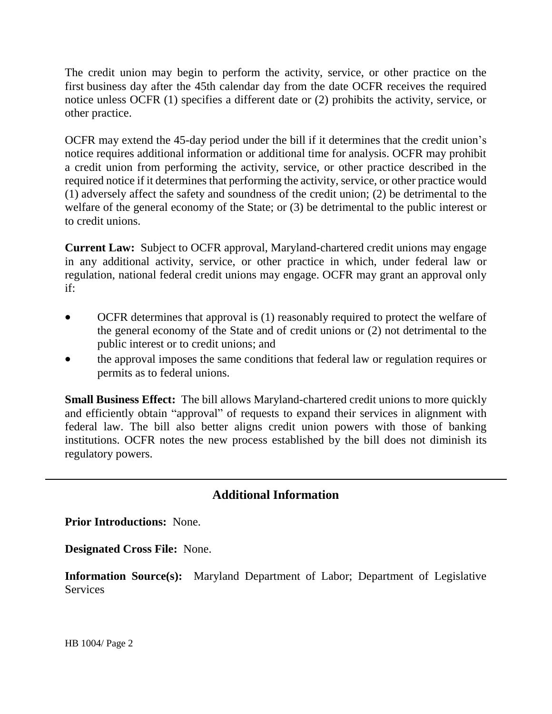The credit union may begin to perform the activity, service, or other practice on the first business day after the 45th calendar day from the date OCFR receives the required notice unless OCFR (1) specifies a different date or (2) prohibits the activity, service, or other practice.

OCFR may extend the 45-day period under the bill if it determines that the credit union's notice requires additional information or additional time for analysis. OCFR may prohibit a credit union from performing the activity, service, or other practice described in the required notice if it determines that performing the activity, service, or other practice would (1) adversely affect the safety and soundness of the credit union; (2) be detrimental to the welfare of the general economy of the State; or (3) be detrimental to the public interest or to credit unions.

**Current Law:** Subject to OCFR approval, Maryland-chartered credit unions may engage in any additional activity, service, or other practice in which, under federal law or regulation, national federal credit unions may engage. OCFR may grant an approval only if:

- OCFR determines that approval is (1) reasonably required to protect the welfare of the general economy of the State and of credit unions or (2) not detrimental to the public interest or to credit unions; and
- the approval imposes the same conditions that federal law or regulation requires or permits as to federal unions.

**Small Business Effect:** The bill allows Maryland-chartered credit unions to more quickly and efficiently obtain "approval" of requests to expand their services in alignment with federal law. The bill also better aligns credit union powers with those of banking institutions. OCFR notes the new process established by the bill does not diminish its regulatory powers.

# **Additional Information**

**Prior Introductions:** None.

**Designated Cross File:** None.

**Information Source(s):** Maryland Department of Labor; Department of Legislative **Services**